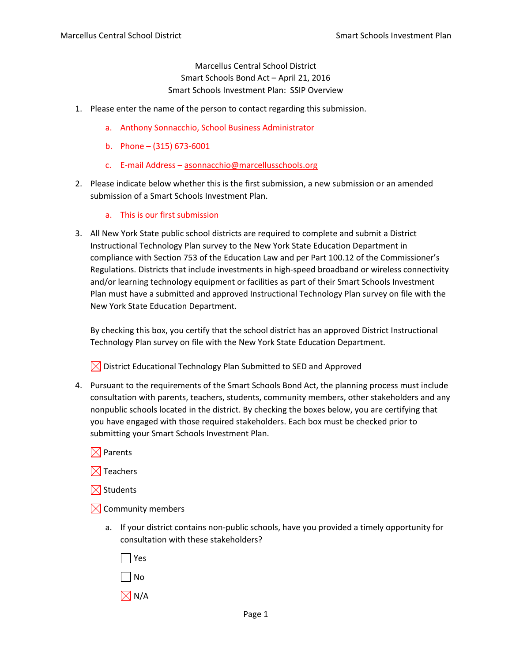Marcellus Central School District Smart Schools Bond Act – April 21, 2016 Smart Schools Investment Plan: SSIP Overview

- 1. Please enter the name of the person to contact regarding this submission.
	- a. Anthony Sonnacchio, School Business Administrator
	- b. Phone  $(315)$  673-6001
	- c. E‐mail Address asonnacchio@marcellusschools.org
- 2. Please indicate below whether this is the first submission, a new submission or an amended submission of a Smart Schools Investment Plan.
	- a. This is our first submission
- 3. All New York State public school districts are required to complete and submit a District Instructional Technology Plan survey to the New York State Education Department in compliance with Section 753 of the Education Law and per Part 100.12 of the Commissioner's Regulations. Districts that include investments in high‐speed broadband or wireless connectivity and/or learning technology equipment or facilities as part of their Smart Schools Investment Plan must have a submitted and approved Instructional Technology Plan survey on file with the New York State Education Department.

By checking this box, you certify that the school district has an approved District Instructional Technology Plan survey on file with the New York State Education Department.

 $\boxtimes$  District Educational Technology Plan Submitted to SED and Approved

- 4. Pursuant to the requirements of the Smart Schools Bond Act, the planning process must include consultation with parents, teachers, students, community members, other stakeholders and any nonpublic schools located in the district. By checking the boxes below, you are certifying that you have engaged with those required stakeholders. Each box must be checked prior to submitting your Smart Schools Investment Plan.
	- $\boxtimes$  Parents
	- $\boxtimes$  Teachers
	- $\boxtimes$  Students
	- $\boxtimes$  Community members
		- a. If your district contains non‐public schools, have you provided a timely opportunity for consultation with these stakeholders?
			- Yes No  $\boxtimes$  N/A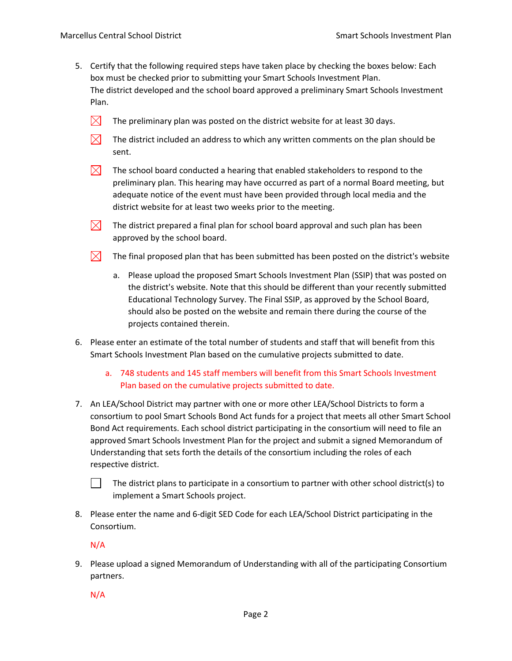- 5. Certify that the following required steps have taken place by checking the boxes below: Each box must be checked prior to submitting your Smart Schools Investment Plan. The district developed and the school board approved a preliminary Smart Schools Investment Plan.
	- $\boxtimes$ The preliminary plan was posted on the district website for at least 30 days.
	- $\boxtimes$ The district included an address to which any written comments on the plan should be sent.
	- $\bowtie$ The school board conducted a hearing that enabled stakeholders to respond to the preliminary plan. This hearing may have occurred as part of a normal Board meeting, but adequate notice of the event must have been provided through local media and the district website for at least two weeks prior to the meeting.
	- $\bowtie$ The district prepared a final plan for school board approval and such plan has been approved by the school board.
	- $\boxtimes$ The final proposed plan that has been submitted has been posted on the district's website
		- a. Please upload the proposed Smart Schools Investment Plan (SSIP) that was posted on the district's website. Note that this should be different than your recently submitted Educational Technology Survey. The Final SSIP, as approved by the School Board, should also be posted on the website and remain there during the course of the projects contained therein.
- 6. Please enter an estimate of the total number of students and staff that will benefit from this Smart Schools Investment Plan based on the cumulative projects submitted to date.
	- a. 748 students and 145 staff members will benefit from this Smart Schools Investment Plan based on the cumulative projects submitted to date.
- 7. An LEA/School District may partner with one or more other LEA/School Districts to form a consortium to pool Smart Schools Bond Act funds for a project that meets all other Smart School Bond Act requirements. Each school district participating in the consortium will need to file an approved Smart Schools Investment Plan for the project and submit a signed Memorandum of Understanding that sets forth the details of the consortium including the roles of each respective district.
	- The district plans to participate in a consortium to partner with other school district(s) to implement a Smart Schools project.
- 8. Please enter the name and 6‐digit SED Code for each LEA/School District participating in the Consortium.

N/A

9. Please upload a signed Memorandum of Understanding with all of the participating Consortium partners.

N/A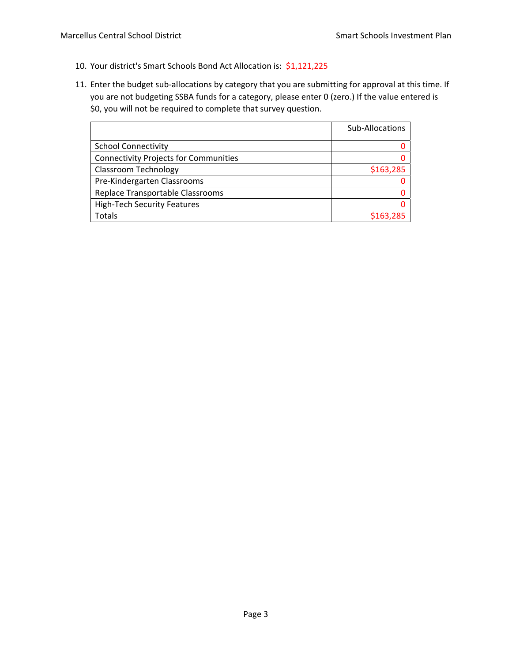- 10. Your district's Smart Schools Bond Act Allocation is: \$1,121,225
- 11. Enter the budget sub-allocations by category that you are submitting for approval at this time. If you are not budgeting SSBA funds for a category, please enter 0 (zero.) If the value entered is \$0, you will not be required to complete that survey question.

|                                              | Sub-Allocations |
|----------------------------------------------|-----------------|
| <b>School Connectivity</b>                   |                 |
| <b>Connectivity Projects for Communities</b> |                 |
| <b>Classroom Technology</b>                  | \$163,285       |
| Pre-Kindergarten Classrooms                  |                 |
| Replace Transportable Classrooms             |                 |
| <b>High-Tech Security Features</b>           |                 |
| <b>Totals</b>                                | \$163,285       |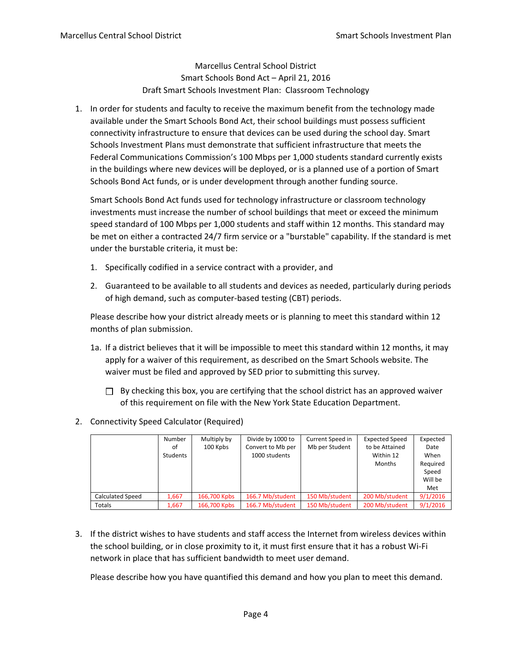Marcellus Central School District Smart Schools Bond Act – April 21, 2016 Draft Smart Schools Investment Plan: Classroom Technology

1. In order for students and faculty to receive the maximum benefit from the technology made available under the Smart Schools Bond Act, their school buildings must possess sufficient connectivity infrastructure to ensure that devices can be used during the school day. Smart Schools Investment Plans must demonstrate that sufficient infrastructure that meets the Federal Communications Commission's 100 Mbps per 1,000 students standard currently exists in the buildings where new devices will be deployed, or is a planned use of a portion of Smart Schools Bond Act funds, or is under development through another funding source.

Smart Schools Bond Act funds used for technology infrastructure or classroom technology investments must increase the number of school buildings that meet or exceed the minimum speed standard of 100 Mbps per 1,000 students and staff within 12 months. This standard may be met on either a contracted 24/7 firm service or a "burstable" capability. If the standard is met under the burstable criteria, it must be:

- 1. Specifically codified in a service contract with a provider, and
- 2. Guaranteed to be available to all students and devices as needed, particularly during periods of high demand, such as computer‐based testing (CBT) periods.

Please describe how your district already meets or is planning to meet this standard within 12 months of plan submission.

- 1a. If a district believes that it will be impossible to meet this standard within 12 months, it may apply for a waiver of this requirement, as described on the Smart Schools website. The waiver must be filed and approved by SED prior to submitting this survey.
	- $\Box$  By checking this box, you are certifying that the school district has an approved waiver of this requirement on file with the New York State Education Department.
- 2. Connectivity Speed Calculator (Required)

|                         | Number<br>of<br>Students | Multiply by<br>100 Kpbs | Divide by 1000 to<br>Convert to Mb per<br>1000 students | Current Speed in<br>Mb per Student | <b>Expected Speed</b><br>to be Attained<br>Within 12<br>Months | Expected<br>Date<br>When<br>Required<br>Speed<br>Will be |
|-------------------------|--------------------------|-------------------------|---------------------------------------------------------|------------------------------------|----------------------------------------------------------------|----------------------------------------------------------|
|                         |                          |                         |                                                         |                                    |                                                                | Met                                                      |
| <b>Calculated Speed</b> | 1,667                    | 166,700 Kpbs            | 166.7 Mb/student                                        | 150 Mb/student                     | 200 Mb/student                                                 | 9/1/2016                                                 |
| <b>Totals</b>           | 1.667                    | 166,700 Kpbs            | 166.7 Mb/student                                        | 150 Mb/student                     | 200 Mb/student                                                 | 9/1/2016                                                 |

3. If the district wishes to have students and staff access the Internet from wireless devices within the school building, or in close proximity to it, it must first ensure that it has a robust Wi‐Fi network in place that has sufficient bandwidth to meet user demand.

Please describe how you have quantified this demand and how you plan to meet this demand.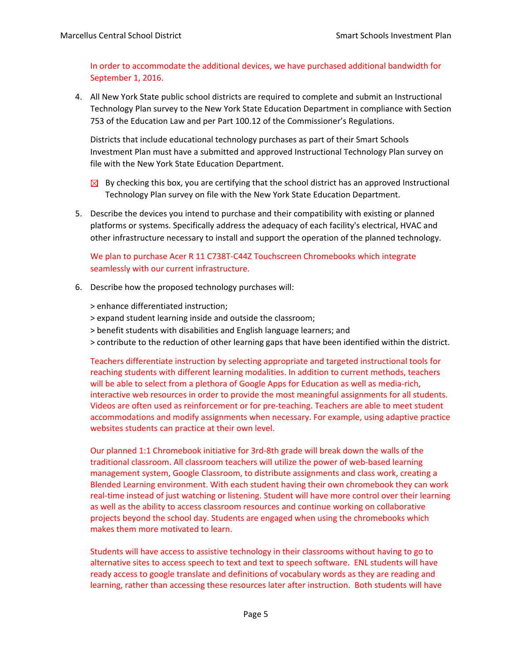In order to accommodate the additional devices, we have purchased additional bandwidth for September 1, 2016.

4. All New York State public school districts are required to complete and submit an Instructional Technology Plan survey to the New York State Education Department in compliance with Section 753 of the Education Law and per Part 100.12 of the Commissioner's Regulations.

Districts that include educational technology purchases as part of their Smart Schools Investment Plan must have a submitted and approved Instructional Technology Plan survey on file with the New York State Education Department.

- $\boxtimes$  By checking this box, you are certifying that the school district has an approved Instructional Technology Plan survey on file with the New York State Education Department.
- 5. Describe the devices you intend to purchase and their compatibility with existing or planned platforms or systems. Specifically address the adequacy of each facility's electrical, HVAC and other infrastructure necessary to install and support the operation of the planned technology.

## We plan to purchase Acer R 11 C738T-C44Z Touchscreen Chromebooks which integrate seamlessly with our current infrastructure.

6. Describe how the proposed technology purchases will:

> enhance differentiated instruction;

- > expand student learning inside and outside the classroom;
- > benefit students with disabilities and English language learners; and
- > contribute to the reduction of other learning gaps that have been identified within the district.

Teachers differentiate instruction by selecting appropriate and targeted instructional tools for reaching students with different learning modalities. In addition to current methods, teachers will be able to select from a plethora of Google Apps for Education as well as media‐rich, interactive web resources in order to provide the most meaningful assignments for all students. Videos are often used as reinforcement or for pre‐teaching. Teachers are able to meet student accommodations and modify assignments when necessary. For example, using adaptive practice websites students can practice at their own level.

Our planned 1:1 Chromebook initiative for 3rd‐8th grade will break down the walls of the traditional classroom. All classroom teachers will utilize the power of web‐based learning management system, Google Classroom, to distribute assignments and class work, creating a Blended Learning environment. With each student having their own chromebook they can work real-time instead of just watching or listening. Student will have more control over their learning as well as the ability to access classroom resources and continue working on collaborative projects beyond the school day. Students are engaged when using the chromebooks which makes them more motivated to learn.

Students will have access to assistive technology in their classrooms without having to go to alternative sites to access speech to text and text to speech software. ENL students will have ready access to google translate and definitions of vocabulary words as they are reading and learning, rather than accessing these resources later after instruction. Both students will have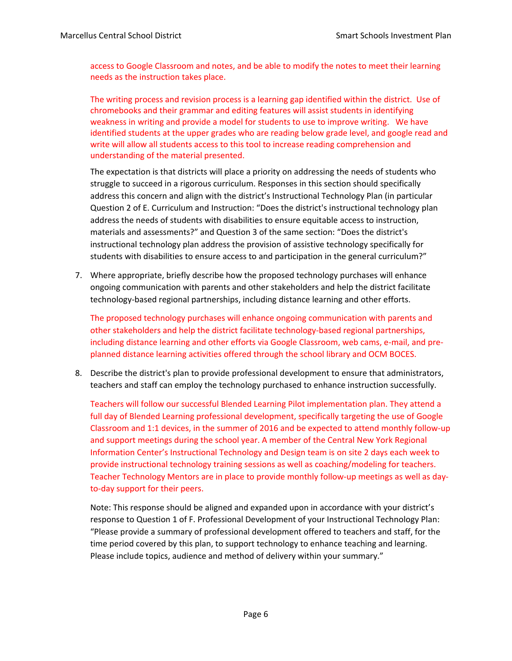access to Google Classroom and notes, and be able to modify the notes to meet their learning needs as the instruction takes place.

The writing process and revision process is a learning gap identified within the district. Use of chromebooks and their grammar and editing features will assist students in identifying weakness in writing and provide a model for students to use to improve writing. We have identified students at the upper grades who are reading below grade level, and google read and write will allow all students access to this tool to increase reading comprehension and understanding of the material presented.

The expectation is that districts will place a priority on addressing the needs of students who struggle to succeed in a rigorous curriculum. Responses in this section should specifically address this concern and align with the district's Instructional Technology Plan (in particular Question 2 of E. Curriculum and Instruction: "Does the district's instructional technology plan address the needs of students with disabilities to ensure equitable access to instruction, materials and assessments?" and Question 3 of the same section: "Does the district's instructional technology plan address the provision of assistive technology specifically for students with disabilities to ensure access to and participation in the general curriculum?"

7. Where appropriate, briefly describe how the proposed technology purchases will enhance ongoing communication with parents and other stakeholders and help the district facilitate technology‐based regional partnerships, including distance learning and other efforts.

The proposed technology purchases will enhance ongoing communication with parents and other stakeholders and help the district facilitate technology‐based regional partnerships, including distance learning and other efforts via Google Classroom, web cams, e-mail, and preplanned distance learning activities offered through the school library and OCM BOCES.

8. Describe the district's plan to provide professional development to ensure that administrators, teachers and staff can employ the technology purchased to enhance instruction successfully.

Teachers will follow our successful Blended Learning Pilot implementation plan. They attend a full day of Blended Learning professional development, specifically targeting the use of Google Classroom and 1:1 devices, in the summer of 2016 and be expected to attend monthly follow‐up and support meetings during the school year. A member of the Central New York Regional Information Center's Instructional Technology and Design team is on site 2 days each week to provide instructional technology training sessions as well as coaching/modeling for teachers. Teacher Technology Mentors are in place to provide monthly follow‐up meetings as well as day‐ to‐day support for their peers.

Note: This response should be aligned and expanded upon in accordance with your district's response to Question 1 of F. Professional Development of your Instructional Technology Plan: "Please provide a summary of professional development offered to teachers and staff, for the time period covered by this plan, to support technology to enhance teaching and learning. Please include topics, audience and method of delivery within your summary."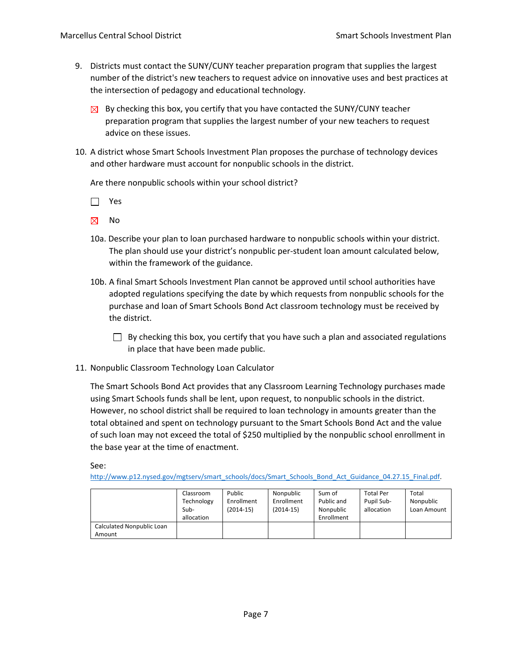- 9. Districts must contact the SUNY/CUNY teacher preparation program that supplies the largest number of the district's new teachers to request advice on innovative uses and best practices at the intersection of pedagogy and educational technology.
	- $\boxtimes$  By checking this box, you certify that you have contacted the SUNY/CUNY teacher preparation program that supplies the largest number of your new teachers to request advice on these issues.
- 10. A district whose Smart Schools Investment Plan proposes the purchase of technology devices and other hardware must account for nonpublic schools in the district.

Are there nonpublic schools within your school district?

□ Yes

 $\boxtimes$ No

- 10a. Describe your plan to loan purchased hardware to nonpublic schools within your district. The plan should use your district's nonpublic per‐student loan amount calculated below, within the framework of the guidance.
- 10b. A final Smart Schools Investment Plan cannot be approved until school authorities have adopted regulations specifying the date by which requests from nonpublic schools for the purchase and loan of Smart Schools Bond Act classroom technology must be received by the district.
	- $\Box$  By checking this box, you certify that you have such a plan and associated regulations in place that have been made public.
- 11. Nonpublic Classroom Technology Loan Calculator

The Smart Schools Bond Act provides that any Classroom Learning Technology purchases made using Smart Schools funds shall be lent, upon request, to nonpublic schools in the district. However, no school district shall be required to loan technology in amounts greater than the total obtained and spent on technology pursuant to the Smart Schools Bond Act and the value of such loan may not exceed the total of \$250 multiplied by the nonpublic school enrollment in the base year at the time of enactment.

See:

http://www.p12.nysed.gov/mgtserv/smart\_schools/docs/Smart\_Schools\_Bond\_Act\_Guidance\_04.27.15\_Final.pdf.

|                           | Classroom<br>Technology<br>Sub-<br>allocation | Public<br>Enrollment<br>(2014-15) | Nonpublic<br>Enrollment<br>$(2014-15)$ | Sum of<br>Public and<br>Nonpublic<br>Enrollment | <b>Total Per</b><br>Pupil Sub-<br>allocation | Total<br>Nonpublic<br>Loan Amount |
|---------------------------|-----------------------------------------------|-----------------------------------|----------------------------------------|-------------------------------------------------|----------------------------------------------|-----------------------------------|
| Calculated Nonpublic Loan |                                               |                                   |                                        |                                                 |                                              |                                   |
| Amount                    |                                               |                                   |                                        |                                                 |                                              |                                   |